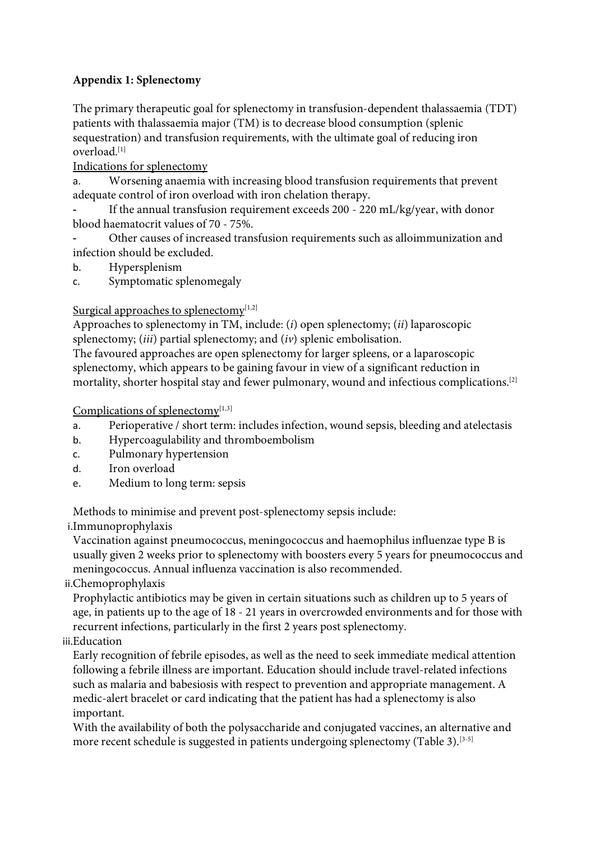# **Appendix 1: Splenectomy**

The primary therapeutic goal for splenectomy in transfusion-dependent thalassaemia (TDT) patients with thalassaemia major (TM) is to decrease blood consumption (splenic sequestration) and transfusion requirements, with the ultimate goal of reducing iron overload.[1]

Indications for splenectomy

a. Worsening anaemia with increasing blood transfusion requirements that prevent adequate control of iron overload with iron chelation therapy.

If the annual transfusion requirement exceeds 200 - 220 mL/kg/year, with donor blood haematocrit values of 70 - 75%.

- Other causes of increased transfusion requirements such as alloimmunization and infection should be excluded.

b. Hypersplenism

c. Symptomatic splenomegaly

### Surgical approaches to splenectomy $[1,2]$

Approaches to splenectomy in TM, include: (*i*) open splenectomy; (*ii*) laparoscopic splenectomy; (*iii*) partial splenectomy; and (*iv*) splenic embolisation.

The favoured approaches are open splenectomy for larger spleens, or a laparoscopic splenectomy, which appears to be gaining favour in view of a significant reduction in mortality, shorter hospital stay and fewer pulmonary, wound and infectious complications.[2]

Complications of splenectomy $[1,3]$ 

- a. Perioperative / short term: includes infection, wound sepsis, bleeding and atelectasis
- b. Hypercoagulability and thromboembolism
- c. Pulmonary hypertension
- d. Iron overload
- e. Medium to long term: sepsis

Methods to minimise and prevent post-splenectomy sepsis include:

i.Immunoprophylaxis

Vaccination against pneumococcus, meningococcus and haemophilus influenzae type B is usually given 2 weeks prior to splenectomy with boosters every 5 years for pneumococcus and meningococcus. Annual influenza vaccination is also recommended.

## ii.Chemoprophylaxis

Prophylactic antibiotics may be given in certain situations such as children up to 5 years of age, in patients up to the age of 18 - 21 years in overcrowded environments and for those with recurrent infections, particularly in the first 2 years post splenectomy.

## iii.Education

Early recognition of febrile episodes, as well as the need to seek immediate medical attention following a febrile illness are important. Education should include travel-related infections such as malaria and babesiosis with respect to prevention and appropriate management. A medic-alert bracelet or card indicating that the patient has had a splenectomy is also important.

With the availability of both the polysaccharide and conjugated vaccines, an alternative and more recent schedule is suggested in patients undergoing splenectomy (Table 3).<sup>[3-5]</sup>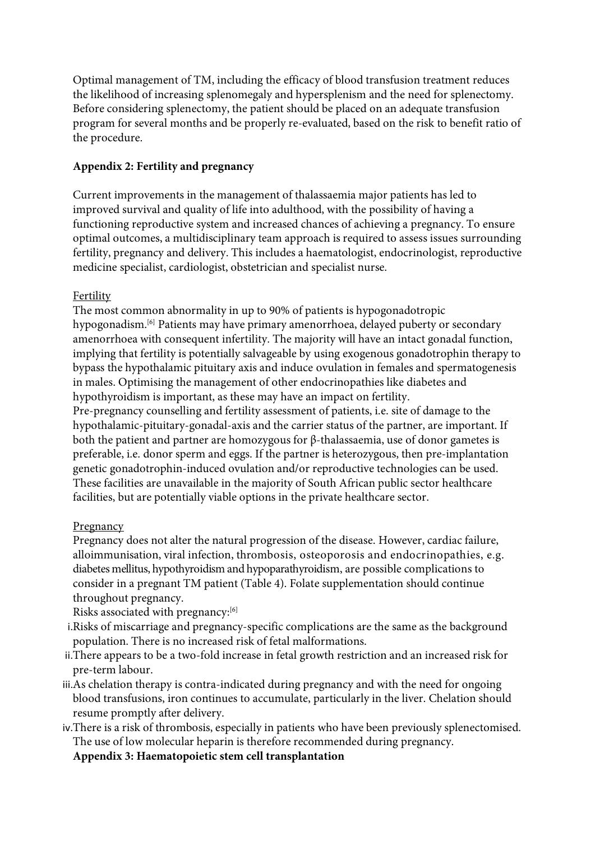Optimal management of TM, including the efficacy of blood transfusion treatment reduces the likelihood of increasing splenomegaly and hypersplenism and the need for splenectomy. Before considering splenectomy, the patient should be placed on an adequate transfusion program for several months and be properly re-evaluated, based on the risk to benefit ratio of the procedure.

### **Appendix 2: Fertility and pregnancy**

Current improvements in the management of thalassaemia major patients has led to improved survival and quality of life into adulthood, with the possibility of having a functioning reproductive system and increased chances of achieving a pregnancy. To ensure optimal outcomes, a multidisciplinary team approach is required to assess issues surrounding fertility, pregnancy and delivery. This includes a haematologist, endocrinologist, reproductive medicine specialist, cardiologist, obstetrician and specialist nurse.

## Fertility

The most common abnormality in up to 90% of patients is hypogonadotropic hypogonadism.<sup>[6]</sup> Patients may have primary amenorrhoea, delayed puberty or secondary amenorrhoea with consequent infertility. The majority will have an intact gonadal function, implying that fertility is potentially salvageable by using exogenous gonadotrophin therapy to bypass the hypothalamic pituitary axis and induce ovulation in females and spermatogenesis in males. Optimising the management of other endocrinopathies like diabetes and hypothyroidism is important, as these may have an impact on fertility.

Pre-pregnancy counselling and fertility assessment of patients, i.e. site of damage to the hypothalamic-pituitary-gonadal-axis and the carrier status of the partner, are important. If both the patient and partner are homozygous for β-thalassaemia, use of donor gametes is preferable, i.e. donor sperm and eggs. If the partner is heterozygous, then pre-implantation genetic gonadotrophin-induced ovulation and/or reproductive technologies can be used. These facilities are unavailable in the majority of South African public sector healthcare facilities, but are potentially viable options in the private healthcare sector.

#### Pregnancy

Pregnancy does not alter the natural progression of the disease. However, cardiac failure, alloimmunisation, viral infection, thrombosis, osteoporosis and endocrinopathies, e.g. diabetes mellitus, hypothyroidism and hypoparathyroidism, are possible complications to consider in a pregnant TM patient (Table 4). Folate supplementation should continue throughout pregnancy.

Risks associated with pregnancy:[6]

- i.Risks of miscarriage and pregnancy-specific complications are the same as the background population. There is no increased risk of fetal malformations.
- ii.There appears to be a two-fold increase in fetal growth restriction and an increased risk for pre-term labour.
- iii.As chelation therapy is contra-indicated during pregnancy and with the need for ongoing blood transfusions, iron continues to accumulate, particularly in the liver. Chelation should resume promptly after delivery.
- iv.There is a risk of thrombosis, especially in patients who have been previously splenectomised. The use of low molecular heparin is therefore recommended during pregnancy.

**Appendix 3: Haematopoietic stem cell transplantation**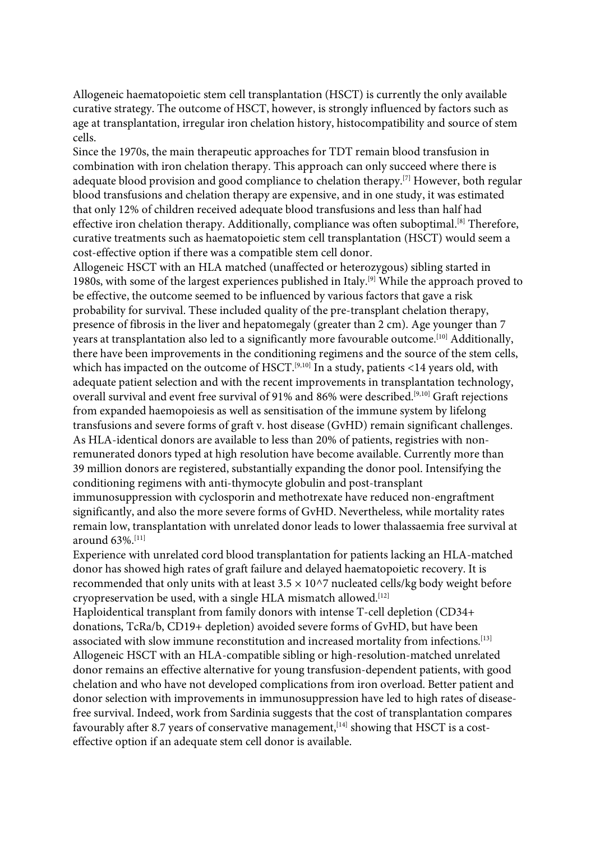Allogeneic haematopoietic stem cell transplantation (HSCT) is currently the only available curative strategy. The outcome of HSCT, however, is strongly influenced by factors such as age at transplantation, irregular iron chelation history, histocompatibility and source of stem cells.

Since the 1970s, the main therapeutic approaches for TDT remain blood transfusion in combination with iron chelation therapy. This approach can only succeed where there is adequate blood provision and good compliance to chelation therapy.[7] However, both regular blood transfusions and chelation therapy are expensive, and in one study, it was estimated that only 12% of children received adequate blood transfusions and less than half had effective iron chelation therapy. Additionally, compliance was often suboptimal.<sup>[8]</sup> Therefore, curative treatments such as haematopoietic stem cell transplantation (HSCT) would seem a cost-effective option if there was a compatible stem cell donor.

Allogeneic HSCT with an HLA matched (unaffected or heterozygous) sibling started in 1980s, with some of the largest experiences published in Italy.[9] While the approach proved to be effective, the outcome seemed to be influenced by various factors that gave a risk probability for survival. These included quality of the pre-transplant chelation therapy, presence of fibrosis in the liver and hepatomegaly (greater than 2 cm). Age younger than 7 years at transplantation also led to a significantly more favourable outcome.<sup>[10]</sup> Additionally, there have been improvements in the conditioning regimens and the source of the stem cells, which has impacted on the outcome of HSCT.<sup>[9,10]</sup> In a study, patients <14 years old, with adequate patient selection and with the recent improvements in transplantation technology, overall survival and event free survival of 91% and 86% were described.<sup>[9,10]</sup> Graft rejections from expanded haemopoiesis as well as sensitisation of the immune system by lifelong transfusions and severe forms of graft v. host disease (GvHD) remain significant challenges. As HLA-identical donors are available to less than 20% of patients, registries with nonremunerated donors typed at high resolution have become available. Currently more than 39 million donors are registered, substantially expanding the donor pool. Intensifying the conditioning regimens with anti-thymocyte globulin and post-transplant

immunosuppression with cyclosporin and methotrexate have reduced non-engraftment significantly, and also the more severe forms of GvHD. Nevertheless, while mortality rates remain low, transplantation with unrelated donor leads to lower thalassaemia free survival at around 63%.[11]

Experience with unrelated cord blood transplantation for patients lacking an HLA-matched donor has showed high rates of graft failure and delayed haematopoietic recovery. It is recommended that only units with at least  $3.5 \times 10^{27}$  nucleated cells/kg body weight before cryopreservation be used, with a single HLA mismatch allowed.[12]

Haploidentical transplant from family donors with intense T-cell depletion (CD34+ donations, TcRa/b, CD19+ depletion) avoided severe forms of GvHD, but have been associated with slow immune reconstitution and increased mortality from infections.[13] Allogeneic HSCT with an HLA-compatible sibling or high-resolution-matched unrelated donor remains an effective alternative for young transfusion-dependent patients, with good chelation and who have not developed complications from iron overload. Better patient and donor selection with improvements in immunosuppression have led to high rates of diseasefree survival. Indeed, work from Sardinia suggests that the cost of transplantation compares favourably after 8.7 years of conservative management,  $[14]$  showing that HSCT is a costeffective option if an adequate stem cell donor is available.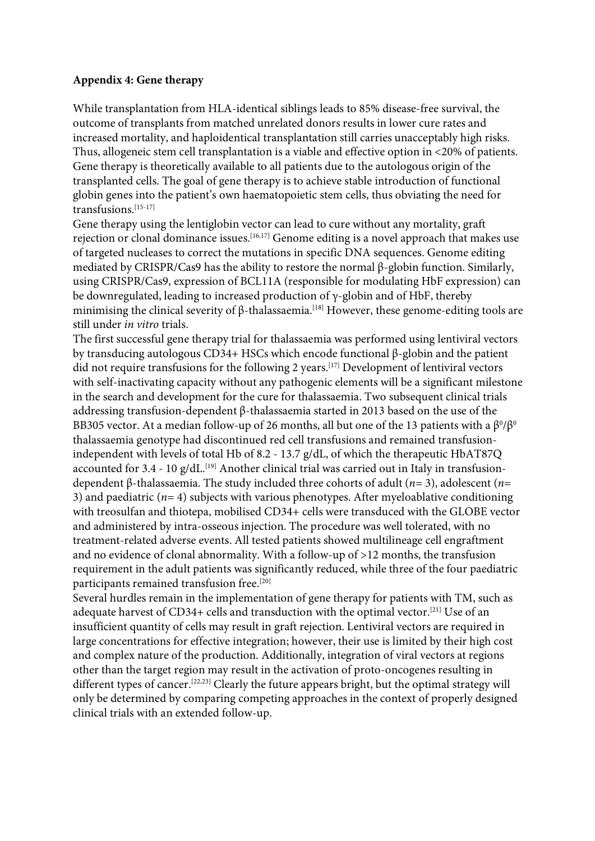#### **Appendix 4: Gene therapy**

While transplantation from HLA-identical siblings leads to 85% disease-free survival, the outcome of transplants from matched unrelated donors results in lower cure rates and increased mortality, and haploidentical transplantation still carries unacceptably high risks. Thus, allogeneic stem cell transplantation is a viable and effective option in <20% of patients. Gene therapy is theoretically available to all patients due to the autologous origin of the transplanted cells. The goal of gene therapy is to achieve stable introduction of functional globin genes into the patient's own haematopoietic stem cells, thus obviating the need for transfusions.[15-17]

Gene therapy using the lentiglobin vector can lead to cure without any mortality, graft rejection or clonal dominance issues.<sup>[16,17]</sup> Genome editing is a novel approach that makes use of targeted nucleases to correct the mutations in specific DNA sequences. Genome editing mediated by CRISPR/Cas9 has the ability to restore the normal β-globin function. Similarly, using CRISPR/Cas9, expression of BCL11A (responsible for modulating HbF expression) can be downregulated, leading to increased production of  $\gamma$ -globin and of HbF, thereby minimising the clinical severity of  $\beta$ -thalassaemia.<sup>[18]</sup> However, these genome-editing tools are still under *in vitro* trials.

The first successful gene therapy trial for thalassaemia was performed using lentiviral vectors by transducing autologous CD34+ HSCs which encode functional β-globin and the patient did not require transfusions for the following 2 years.<sup>[17]</sup> Development of lentiviral vectors with self-inactivating capacity without any pathogenic elements will be a significant milestone in the search and development for the cure for thalassaemia. Two subsequent clinical trials addressing transfusion-dependent β-thalassaemia started in 2013 based on the use of the BB305 vector. At a median follow-up of 26 months, all but one of the 13 patients with a  $\beta^0/\beta^0$ thalassaemia genotype had discontinued red cell transfusions and remained transfusionindependent with levels of total Hb of 8.2 - 13.7 g/dL, of which the therapeutic HbAT87Q accounted for 3.4 - 10 g/dL.<sup>[19]</sup> Another clinical trial was carried out in Italy in transfusiondependent β-thalassaemia. The study included three cohorts of adult (*n*= 3), adolescent (*n*= 3) and paediatric  $(n=4)$  subjects with various phenotypes. After myeloablative conditioning with treosulfan and thiotepa, mobilised CD34+ cells were transduced with the GLOBE vector and administered by intra-osseous injection. The procedure was well tolerated, with no treatment-related adverse events. All tested patients showed multilineage cell engraftment and no evidence of clonal abnormality. With a follow-up of >12 months, the transfusion requirement in the adult patients was significantly reduced, while three of the four paediatric participants remained transfusion free.<sup>[20]</sup>

Several hurdles remain in the implementation of gene therapy for patients with TM, such as adequate harvest of CD34+ cells and transduction with the optimal vector.[21] Use of an insufficient quantity of cells may result in graft rejection. Lentiviral vectors are required in large concentrations for effective integration; however, their use is limited by their high cost and complex nature of the production. Additionally, integration of viral vectors at regions other than the target region may result in the activation of proto-oncogenes resulting in different types of cancer.<sup>[22,23]</sup> Clearly the future appears bright, but the optimal strategy will only be determined by comparing competing approaches in the context of properly designed clinical trials with an extended follow-up.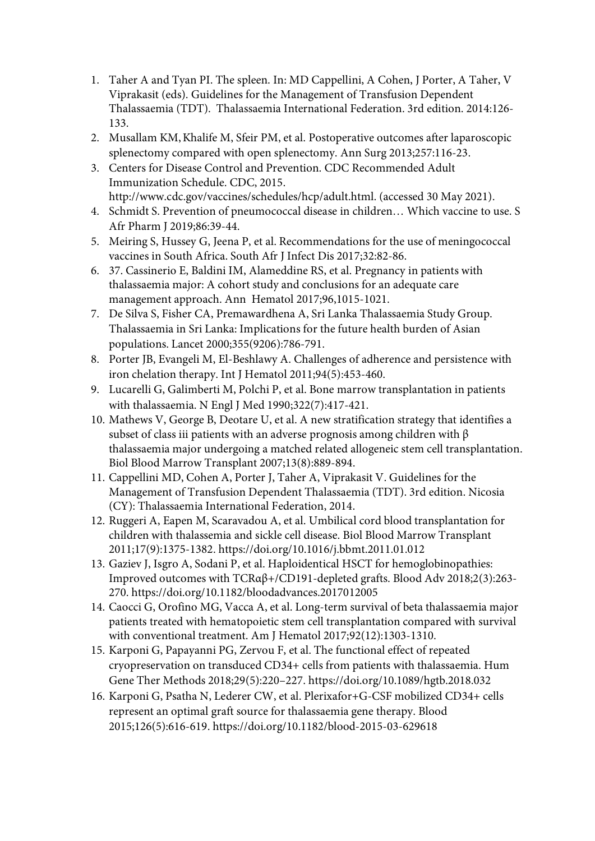- 1. Taher A and Tyan PI. The spleen. In: MD Cappellini, A Cohen, J Porter, A Taher, V Viprakasit (eds). Guidelines for the Management of Transfusion Dependent Thalassaemia (TDT). Thalassaemia International Federation. 3rd edition. 2014:126- 133.
- 2. Musallam KM,Khalife M, Sfeir PM, et al. Postoperative outcomes after laparoscopic splenectomy compared with open splenectomy. Ann Surg 2013;257:116-23.
- 3. Centers for Disease Control and Prevention. CDC Recommended Adult Immunization Schedule. CDC, 2015. http://www.cdc.gov/vaccines/schedules/hcp/adult.html. (accessed 30 May 2021).
- 4. Schmidt S. Prevention of pneumococcal disease in children… Which vaccine to use. S Afr Pharm J 2019;86:39-44.
- 5. Meiring S, Hussey G, Jeena P, et al. Recommendations for the use of meningococcal vaccines in South Africa. South Afr J Infect Dis 2017;32:82-86.
- 6. 37. Cassinerio E, Baldini IM, Alameddine RS, et al. Pregnancy in patients with thalassaemia major: A cohort study and conclusions for an adequate care management approach. Ann Hematol 2017;96,1015-1021.
- 7. De Silva S, Fisher CA, Premawardhena A, Sri Lanka Thalassaemia Study Group. Thalassaemia in Sri Lanka: Implications for the future health burden of Asian populations. Lancet 2000;355(9206):786-791.
- 8. Porter JB, Evangeli M, El-Beshlawy A. Challenges of adherence and persistence with iron chelation therapy. Int J Hematol 2011;94(5):453-460.
- 9. Lucarelli G, Galimberti M, Polchi P, et al. Bone marrow transplantation in patients with thalassaemia. N Engl J Med 1990;322(7):417-421.
- 10. Mathews V, George B, Deotare U, et al. A new stratification strategy that identifies a subset of class iii patients with an adverse prognosis among children with  $\beta$ thalassaemia major undergoing a matched related allogeneic stem cell transplantation. Biol Blood Marrow Transplant 2007;13(8):889-894.
- 11. Cappellini MD, Cohen A, Porter J, Taher A, Viprakasit V. Guidelines for the Management of Transfusion Dependent Thalassaemia (TDT). 3rd edition. Nicosia (CY): Thalassaemia International Federation, 2014.
- 12. Ruggeri A, Eapen M, Scaravadou A, et al. Umbilical cord blood transplantation for children with thalassemia and sickle cell disease. Biol Blood Marrow Transplant 2011;17(9):1375-1382. https://doi.org/10.1016/j.bbmt.2011.01.012
- 13. Gaziev J, Isgro A, Sodani P, et al. Haploidentical HSCT for hemoglobinopathies: Improved outcomes with TCRαβ+/CD191-depleted grafts. Blood Adv 2018;2(3):263- 270. https://doi.org/10.1182/bloodadvances.2017012005
- 14. Caocci G, Orofino MG, Vacca A, et al. Long-term survival of beta thalassaemia major patients treated with hematopoietic stem cell transplantation compared with survival with conventional treatment. Am J Hematol 2017;92(12):1303-1310.
- 15. Karponi G, Papayanni PG, Zervou F, et al. The functional effect of repeated cryopreservation on transduced CD34+ cells from patients with thalassaemia. Hum Gene Ther Methods 2018;29(5):220–227. https://doi.org/10.1089/hgtb.2018.032
- 16. Karponi G, Psatha N, Lederer CW, et al. Plerixafor+G-CSF mobilized CD34+ cells represent an optimal graft source for thalassaemia gene therapy. Blood 2015;126(5):616-619. https://doi.org/10.1182/blood-2015-03-629618